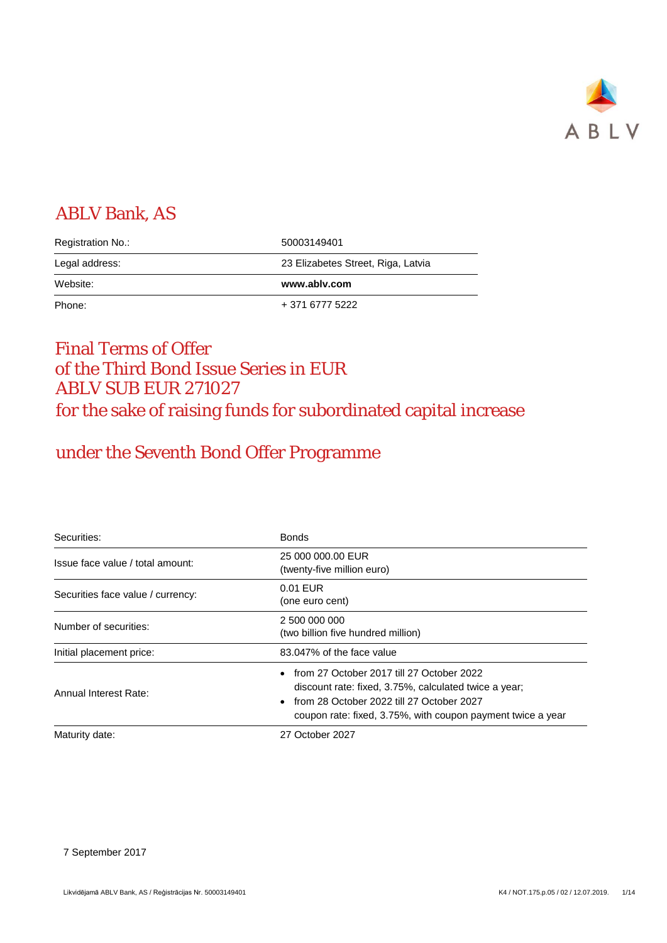

## ABLV Bank, AS

| Registration No.: | 50003149401                        |
|-------------------|------------------------------------|
| Legal address:    | 23 Elizabetes Street, Riga, Latvia |
|                   |                                    |
| Website:          | www.ablv.com                       |

## Final Terms of Offer of the Third Bond Issue Series in EUR ABLV SUB EUR 271027 for the sake of raising funds for subordinated capital increase

# under the Seventh Bond Offer Programme

| Securities:                       | <b>Bonds</b>                                                                                                                                                                                                     |  |  |  |
|-----------------------------------|------------------------------------------------------------------------------------------------------------------------------------------------------------------------------------------------------------------|--|--|--|
| Issue face value / total amount:  | 25 000 000.00 EUR<br>(twenty-five million euro)                                                                                                                                                                  |  |  |  |
| Securities face value / currency: | 0.01 EUR<br>(one euro cent)                                                                                                                                                                                      |  |  |  |
| Number of securities:             | 2 500 000 000<br>(two billion five hundred million)                                                                                                                                                              |  |  |  |
| Initial placement price:          | 83.047% of the face value                                                                                                                                                                                        |  |  |  |
| Annual Interest Rate:             | • from 27 October 2017 till 27 October 2022<br>discount rate: fixed, 3.75%, calculated twice a year;<br>from 28 October 2022 till 27 October 2027<br>coupon rate: fixed, 3.75%, with coupon payment twice a year |  |  |  |
| Maturity date:                    | 27 October 2027                                                                                                                                                                                                  |  |  |  |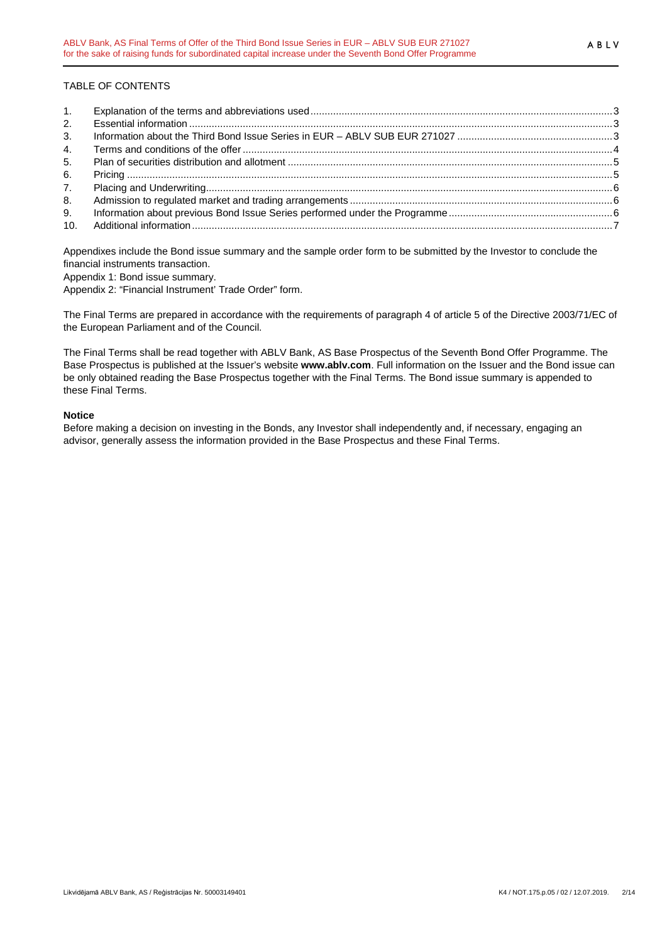## TABLE OF CONTENTS

| 2. |  |
|----|--|
| 3. |  |
| 4. |  |
| 5. |  |
| 6. |  |
| 7. |  |
| 8. |  |
| 9. |  |
|    |  |

Appendixes include the Bond issue summary and the sample order form to be submitted by the Investor to conclude the financial instruments transaction.

Appendix 1: Bond issue summary.

Appendix 2: "Financial Instrument' Trade Order" form.

The Final Terms are prepared in accordance with the requirements of paragraph 4 of article 5 of the Directive 2003/71/EC of the European Parliament and of the Council.

The Final Terms shall be read together with ABLV Bank, AS Base Prospectus of the Seventh Bond Offer Programme. The Base Prospectus is published at the Issuer's website **www.ablv.com**. Full information on the Issuer and the Bond issue can be only obtained reading the Base Prospectus together with the Final Terms. The Bond issue summary is appended to these Final Terms.

### **Notice**

Before making a decision on investing in the Bonds, any Investor shall independently and, if necessary, engaging an advisor, generally assess the information provided in the Base Prospectus and these Final Terms.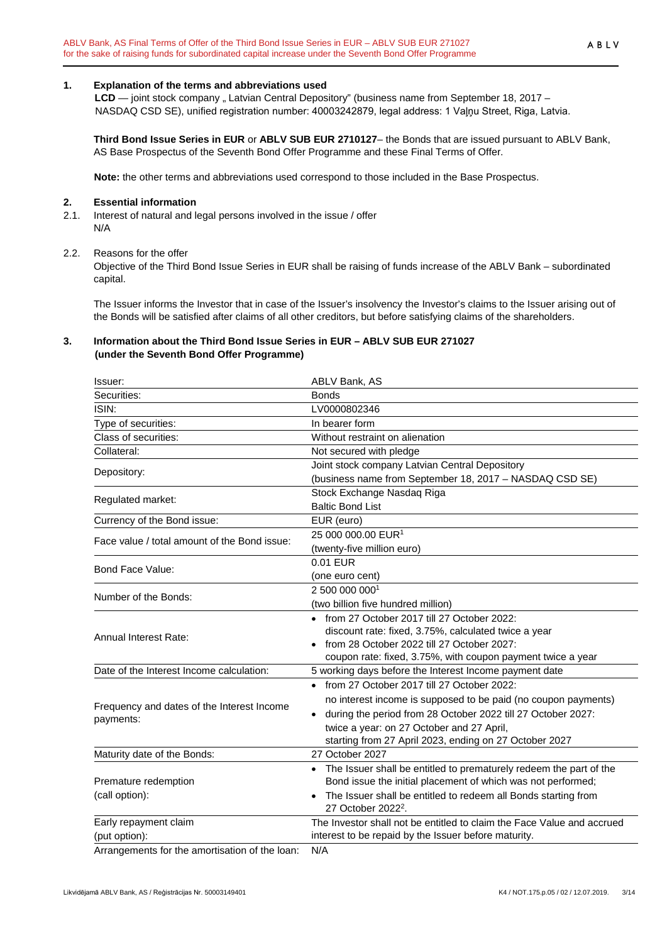## <span id="page-2-0"></span>**1. Explanation of the terms and abbreviations used**

LCD — joint stock company " Latvian Central Depository" (business name from September 18, 2017 – NASDAQ CSD SE), unified registration number: 40003242879, legal address: 1 Vaļņu Street, Riga, Latvia.

**Third Bond Issue Series in EUR** or **ABLV SUB EUR 2710127**– the Bonds that are issued pursuant to ABLV Bank, AS Base Prospectus of the Seventh Bond Offer Programme and these Final Terms of Offer.

**Note:** the other terms and abbreviations used correspond to those included in the Base Prospectus.

#### <span id="page-2-1"></span>**2. Essential information**

2.1. Interest of natural and legal persons involved in the issue / offer N/A

#### 2.2. Reasons for the offer

Objective of the Third Bond Issue Series in EUR shall be raising of funds increase of the ABLV Bank – subordinated capital.

The Issuer informs the Investor that in case of the Issuer's insolvency the Investor's claims to the Issuer arising out of the Bonds will be satisfied after claims of all other creditors, but before satisfying claims of the shareholders.

## <span id="page-2-2"></span>**3. Information about the Third Bond Issue Series in EUR – ABLV SUB EUR 271027 (under the Seventh Bond Offer Programme)**

| Issuer:                                        | ABLV Bank, AS                                                                                    |
|------------------------------------------------|--------------------------------------------------------------------------------------------------|
| Securities:                                    | <b>Bonds</b>                                                                                     |
| ISIN:                                          | LV0000802346                                                                                     |
| Type of securities:                            | In bearer form                                                                                   |
| Class of securities:                           | Without restraint on alienation                                                                  |
| Collateral:                                    | Not secured with pledge                                                                          |
| Depository:                                    | Joint stock company Latvian Central Depository                                                   |
|                                                | (business name from September 18, 2017 - NASDAQ CSD SE)                                          |
| Regulated market:                              | Stock Exchange Nasdaq Riga                                                                       |
|                                                | <b>Baltic Bond List</b>                                                                          |
| Currency of the Bond issue:                    | EUR (euro)                                                                                       |
| Face value / total amount of the Bond issue:   | 25 000 000.00 EUR <sup>1</sup>                                                                   |
|                                                | (twenty-five million euro)                                                                       |
| Bond Face Value:                               | 0.01 EUR                                                                                         |
|                                                | (one euro cent)                                                                                  |
| Number of the Bonds:                           | 2 500 000 0001                                                                                   |
|                                                | (two billion five hundred million)                                                               |
|                                                | • from 27 October 2017 till 27 October 2022:                                                     |
| Annual Interest Rate:                          | discount rate: fixed, 3.75%, calculated twice a year                                             |
|                                                | from 28 October 2022 till 27 October 2027:                                                       |
|                                                | coupon rate: fixed, 3.75%, with coupon payment twice a year                                      |
| Date of the Interest Income calculation:       | 5 working days before the Interest Income payment date                                           |
|                                                | • from 27 October 2017 till 27 October 2022:                                                     |
| Frequency and dates of the Interest Income     | no interest income is supposed to be paid (no coupon payments)                                   |
| payments:                                      | during the period from 28 October 2022 till 27 October 2027:<br>$\bullet$                        |
|                                                | twice a year: on 27 October and 27 April,                                                        |
|                                                | starting from 27 April 2023, ending on 27 October 2027                                           |
| Maturity date of the Bonds:                    | 27 October 2027                                                                                  |
|                                                | The Issuer shall be entitled to prematurely redeem the part of the                               |
| Premature redemption                           | Bond issue the initial placement of which was not performed;                                     |
| (call option):                                 | The Issuer shall be entitled to redeem all Bonds starting from<br>27 October 2022 <sup>2</sup> . |
| Early repayment claim                          | The Investor shall not be entitled to claim the Face Value and accrued                           |
| (put option):                                  | interest to be repaid by the Issuer before maturity.                                             |
| Arrangements for the amortisation of the loan: | $N/\Delta$                                                                                       |

Arrangements for the amortisation of the loan: N/A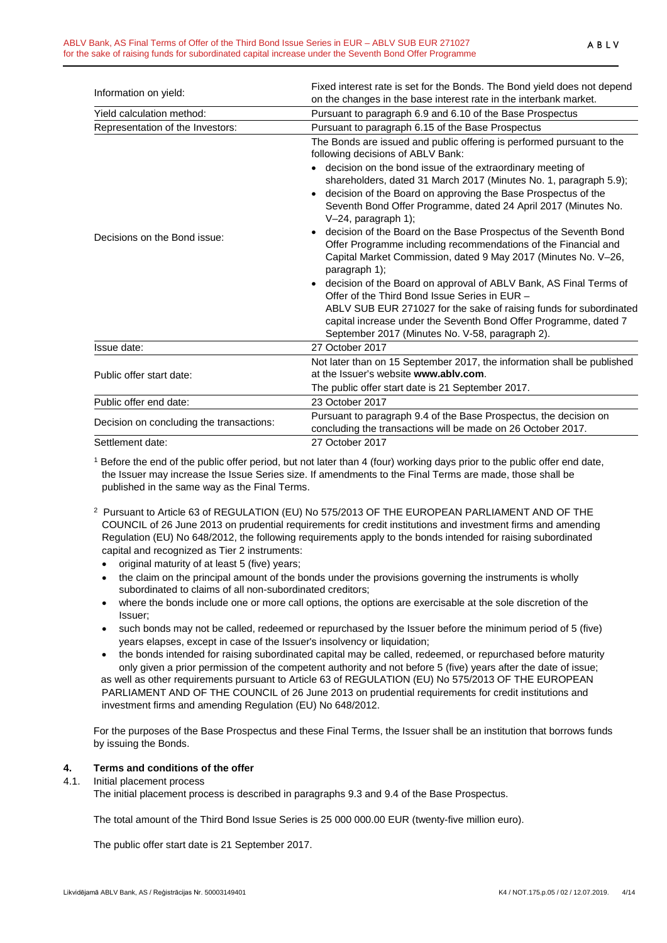|                                          | Fixed interest rate is set for the Bonds. The Bond yield does not depend                                                                                                                                                                                                                                                                                                                                                                                                                                                                                                                                                                                                                                                                                                                                                                                                                                                                                                                     |
|------------------------------------------|----------------------------------------------------------------------------------------------------------------------------------------------------------------------------------------------------------------------------------------------------------------------------------------------------------------------------------------------------------------------------------------------------------------------------------------------------------------------------------------------------------------------------------------------------------------------------------------------------------------------------------------------------------------------------------------------------------------------------------------------------------------------------------------------------------------------------------------------------------------------------------------------------------------------------------------------------------------------------------------------|
| Information on yield:                    | on the changes in the base interest rate in the interbank market.                                                                                                                                                                                                                                                                                                                                                                                                                                                                                                                                                                                                                                                                                                                                                                                                                                                                                                                            |
| Yield calculation method:                | Pursuant to paragraph 6.9 and 6.10 of the Base Prospectus                                                                                                                                                                                                                                                                                                                                                                                                                                                                                                                                                                                                                                                                                                                                                                                                                                                                                                                                    |
| Representation of the Investors:         | Pursuant to paragraph 6.15 of the Base Prospectus                                                                                                                                                                                                                                                                                                                                                                                                                                                                                                                                                                                                                                                                                                                                                                                                                                                                                                                                            |
| Decisions on the Bond issue:             | The Bonds are issued and public offering is performed pursuant to the<br>following decisions of ABLV Bank:<br>• decision on the bond issue of the extraordinary meeting of<br>shareholders, dated 31 March 2017 (Minutes No. 1, paragraph 5.9);<br>decision of the Board on approving the Base Prospectus of the<br>$\bullet$<br>Seventh Bond Offer Programme, dated 24 April 2017 (Minutes No.<br>V-24, paragraph 1);<br>decision of the Board on the Base Prospectus of the Seventh Bond<br>$\bullet$<br>Offer Programme including recommendations of the Financial and<br>Capital Market Commission, dated 9 May 2017 (Minutes No. V-26,<br>paragraph 1);<br>decision of the Board on approval of ABLV Bank, AS Final Terms of<br>$\bullet$<br>Offer of the Third Bond Issue Series in EUR -<br>ABLV SUB EUR 271027 for the sake of raising funds for subordinated<br>capital increase under the Seventh Bond Offer Programme, dated 7<br>September 2017 (Minutes No. V-58, paragraph 2). |
| Issue date:                              | 27 October 2017                                                                                                                                                                                                                                                                                                                                                                                                                                                                                                                                                                                                                                                                                                                                                                                                                                                                                                                                                                              |
|                                          | Not later than on 15 September 2017, the information shall be published                                                                                                                                                                                                                                                                                                                                                                                                                                                                                                                                                                                                                                                                                                                                                                                                                                                                                                                      |
| Public offer start date:                 | at the Issuer's website www.ably.com.                                                                                                                                                                                                                                                                                                                                                                                                                                                                                                                                                                                                                                                                                                                                                                                                                                                                                                                                                        |
|                                          | The public offer start date is 21 September 2017.                                                                                                                                                                                                                                                                                                                                                                                                                                                                                                                                                                                                                                                                                                                                                                                                                                                                                                                                            |
| Public offer end date:                   | 23 October 2017                                                                                                                                                                                                                                                                                                                                                                                                                                                                                                                                                                                                                                                                                                                                                                                                                                                                                                                                                                              |
| Decision on concluding the transactions: | Pursuant to paragraph 9.4 of the Base Prospectus, the decision on                                                                                                                                                                                                                                                                                                                                                                                                                                                                                                                                                                                                                                                                                                                                                                                                                                                                                                                            |
|                                          | concluding the transactions will be made on 26 October 2017.                                                                                                                                                                                                                                                                                                                                                                                                                                                                                                                                                                                                                                                                                                                                                                                                                                                                                                                                 |
| Settlement date:                         | 27 October 2017                                                                                                                                                                                                                                                                                                                                                                                                                                                                                                                                                                                                                                                                                                                                                                                                                                                                                                                                                                              |

<sup>1</sup> Before the end of the public offer period, but not later than 4 (four) working days prior to the public offer end date, the Issuer may increase the Issue Series size. If amendments to the Final Terms are made, those shall be published in the same way as the Final Terms.

- 2 Pursuant to Article 63 of REGULATION (EU) No 575/2013 OF THE EUROPEAN PARLIAMENT AND OF THE COUNCIL of 26 June 2013 on prudential requirements for credit institutions and investment firms and amending Regulation (EU) No 648/2012, the following requirements apply to the bonds intended for raising subordinated capital and recognized as Tier 2 instruments:
	- original maturity of at least 5 (five) years;
	- the claim on the principal amount of the bonds under the provisions governing the instruments is wholly subordinated to claims of all non-subordinated creditors;
	- where the bonds include one or more call options, the options are exercisable at the sole discretion of the Issuer;
	- such bonds may not be called, redeemed or repurchased by the Issuer before the minimum period of 5 (five) years elapses, except in case of the Issuer's insolvency or liquidation;
	- the bonds intended for raising subordinated capital may be called, redeemed, or repurchased before maturity only given a prior permission of the competent authority and not before 5 (five) years after the date of issue; as well as other requirements pursuant to Article 63 of REGULATION (EU) No 575/2013 OF THE EUROPEAN PARLIAMENT AND OF THE COUNCIL of 26 June 2013 on prudential requirements for credit institutions and investment firms and amending Regulation (EU) No 648/2012.

For the purposes of the Base Prospectus and these Final Terms, the Issuer shall be an institution that borrows funds by issuing the Bonds.

## <span id="page-3-0"></span>**4. Terms and conditions of the offer**

#### 4.1. Initial placement process

The initial placement process is described in paragraphs 9.3 and 9.4 of the Base Prospectus.

The total amount of the Third Bond Issue Series is 25 000 000.00 EUR (twenty-five million euro).

The public offer start date is 21 September 2017.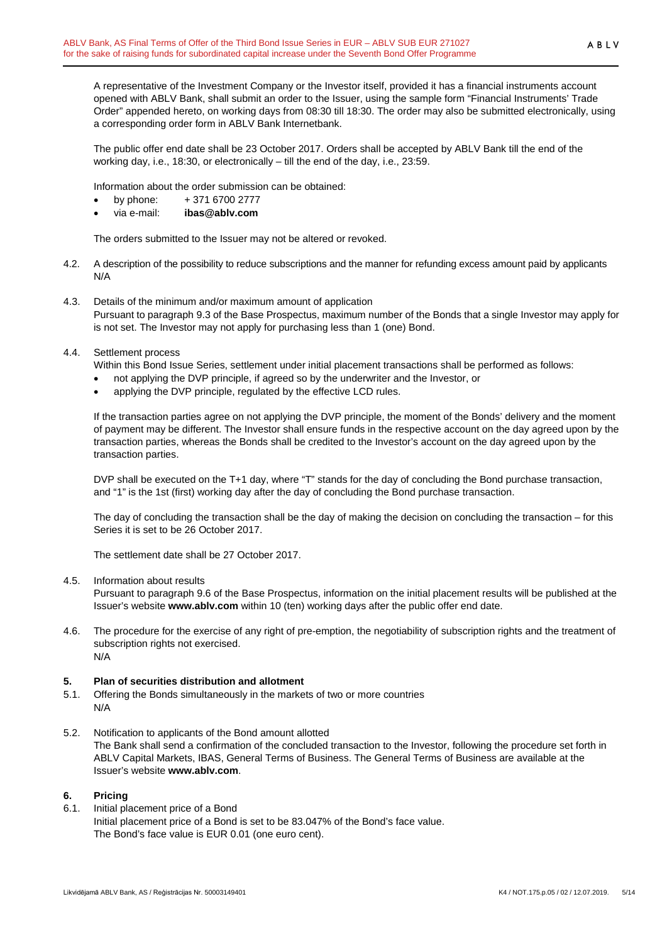A representative of the Investment Company or the Investor itself, provided it has a financial instruments account opened with ABLV Bank, shall submit an order to the Issuer, using the sample form "Financial Instruments' Trade Order" appended hereto, on working days from 08:30 till 18:30. The order may also be submitted electronically, using a corresponding order form in ABLV Bank Internetbank.

The public offer end date shall be 23 October 2017. Orders shall be accepted by ABLV Bank till the end of the working day, i.e., 18:30, or electronically – till the end of the day, i.e., 23:59.

Information about the order submission can be obtained:

- by phone: + 371 6700 2777
- via e-mail: **ibas@ablv.com**

The orders submitted to the Issuer may not be altered or revoked.

- 4.2. A description of the possibility to reduce subscriptions and the manner for refunding excess amount paid by applicants N/A
- 4.3. Details of the minimum and/or maximum amount of application Pursuant to paragraph 9.3 of the Base Prospectus, maximum number of the Bonds that a single Investor may apply for is not set. The Investor may not apply for purchasing less than 1 (one) Bond.
- 4.4. Settlement process

Within this Bond Issue Series, settlement under initial placement transactions shall be performed as follows:

- not applying the DVP principle, if agreed so by the underwriter and the Investor, or
- applying the DVP principle, regulated by the effective LCD rules.

If the transaction parties agree on not applying the DVP principle, the moment of the Bonds' delivery and the moment of payment may be different. The Investor shall ensure funds in the respective account on the day agreed upon by the transaction parties, whereas the Bonds shall be credited to the Investor's account on the day agreed upon by the transaction parties.

DVP shall be executed on the T+1 day, where "T" stands for the day of concluding the Bond purchase transaction, and "1" is the 1st (first) working day after the day of concluding the Bond purchase transaction.

The day of concluding the transaction shall be the day of making the decision on concluding the transaction – for this Series it is set to be 26 October 2017.

The settlement date shall be 27 October 2017.

4.5. Information about results

Pursuant to paragraph 9.6 of the Base Prospectus, information on the initial placement results will be published at the Issuer's website **www.ablv.com** within 10 (ten) working days after the public offer end date.

4.6. The procedure for the exercise of any right of pre-emption, the negotiability of subscription rights and the treatment of subscription rights not exercised. N/A

#### <span id="page-4-0"></span>**5. Plan of securities distribution and allotment**

- 5.1. Offering the Bonds simultaneously in the markets of two or more countries N/A
- 5.2. Notification to applicants of the Bond amount allotted The Bank shall send a confirmation of the concluded transaction to the Investor, following the procedure set forth in ABLV Capital Markets, IBAS, General Terms of Business. The General Terms of Business are available at the Issuer's website **[www.ablv.com](http://www.ablv.com/)**.

#### <span id="page-4-1"></span>**6. Pricing**

6.1. Initial placement price of a Bond Initial placement price of a Bond is set to be 83.047% of the Bond's face value. The Bond's face value is EUR 0.01 (one euro cent).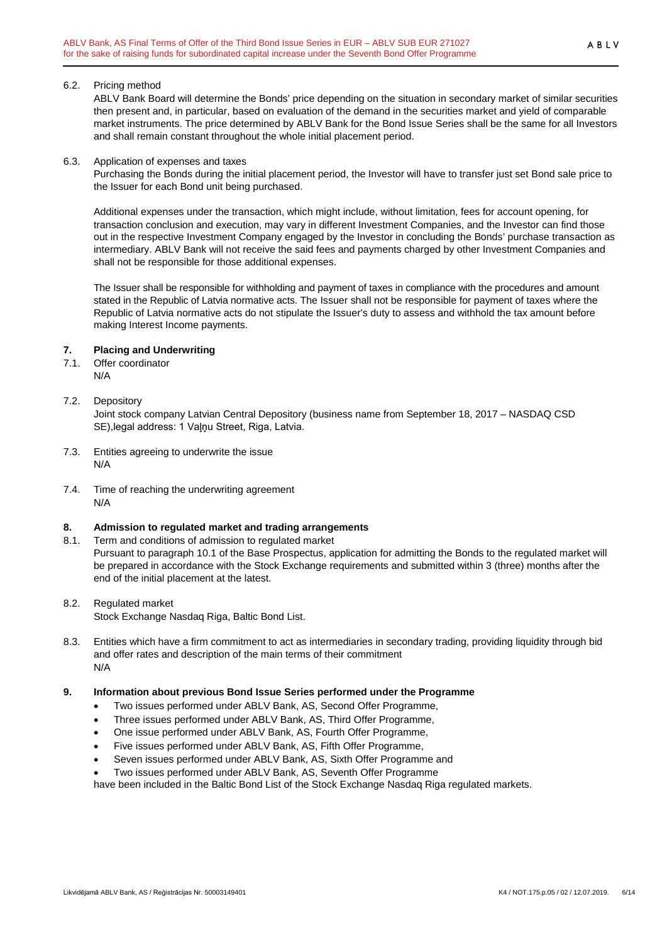#### 6.2. Pricing method

ABLV Bank Board will determine the Bonds' price depending on the situation in secondary market of similar securities then present and, in particular, based on evaluation of the demand in the securities market and yield of comparable market instruments. The price determined by ABLV Bank for the Bond Issue Series shall be the same for all Investors and shall remain constant throughout the whole initial placement period.

#### 6.3. Application of expenses and taxes

Purchasing the Bonds during the initial placement period, the Investor will have to transfer just set Bond sale price to the Issuer for each Bond unit being purchased.

Additional expenses under the transaction, which might include, without limitation, fees for account opening, for transaction conclusion and execution, may vary in different Investment Companies, and the Investor can find those out in the respective Investment Company engaged by the Investor in concluding the Bonds' purchase transaction as intermediary. ABLV Bank will not receive the said fees and payments charged by other Investment Companies and shall not be responsible for those additional expenses.

The Issuer shall be responsible for withholding and payment of taxes in compliance with the procedures and amount stated in the Republic of Latvia normative acts. The Issuer shall not be responsible for payment of taxes where the Republic of Latvia normative acts do not stipulate the Issuer's duty to assess and withhold the tax amount before making Interest Income payments.

## <span id="page-5-0"></span>**7. Placing and Underwriting**

- 7.1. Offer coordinator N/A
- 7.2. Depository

Joint stock company Latvian Central Depository (business name from September 18, 2017 – NASDAQ CSD SE),legal address: 1 Vaļņu Street, Riga, Latvia.

- 7.3. Entities agreeing to underwrite the issue N/A
- 7.4. Time of reaching the underwriting agreement N/A

## <span id="page-5-1"></span>**8. Admission to regulated market and trading arrangements**

- 8.1. Term and conditions of admission to regulated market Pursuant to paragraph 10.1 of the Base Prospectus, application for admitting the Bonds to the regulated market will be prepared in accordance with the Stock Exchange requirements and submitted within 3 (three) months after the end of the initial placement at the latest.
- 8.2. Regulated market

Stock Exchange Nasdaq Riga, Baltic Bond List.

8.3. Entities which have a firm commitment to act as intermediaries in secondary trading, providing liquidity through bid and offer rates and description of the main terms of their commitment N/A

## <span id="page-5-2"></span>**9. Information about previous Bond Issue Series performed under the Programme**

- Two issues performed under ABLV Bank, AS, Second Offer Programme,
- Three issues performed under ABLV Bank, AS, Third Offer Programme,
- One issue performed under ABLV Bank, AS, Fourth Offer Programme,
- Five issues performed under ABLV Bank, AS, Fifth Offer Programme,
- Seven issues performed under ABLV Bank, AS, Sixth Offer Programme and
- Two issues performed under ABLV Bank, AS, Seventh Offer Programme

have been included in the Baltic Bond List of the Stock Exchange Nasdaq Riga regulated markets.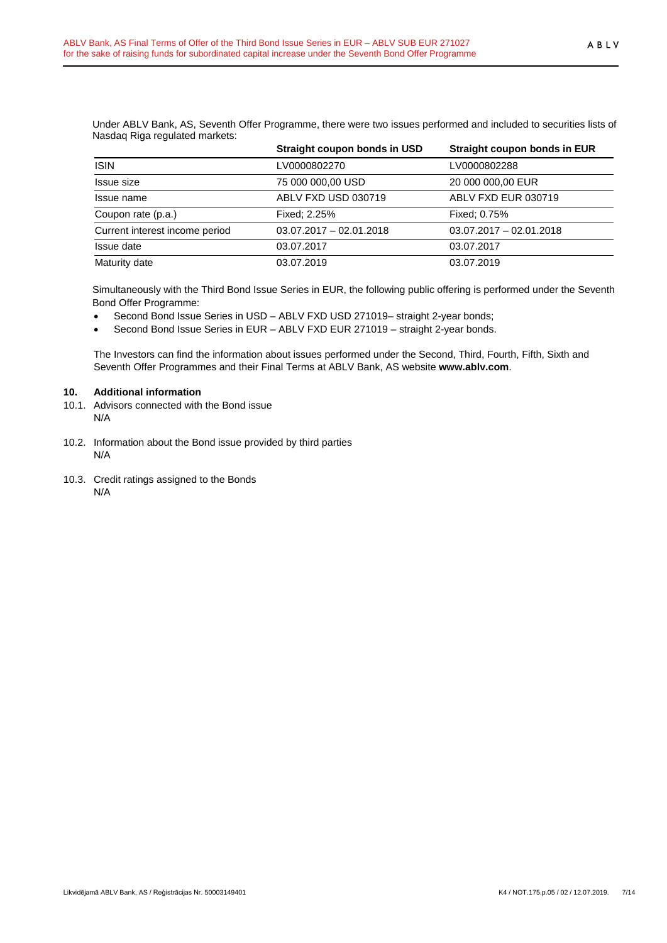Under ABLV Bank, AS, Seventh Offer Programme, there were two issues performed and included to securities lists of Nasdaq Riga regulated markets:

|                                | Straight coupon bonds in USD | Straight coupon bonds in EUR |
|--------------------------------|------------------------------|------------------------------|
| <b>ISIN</b>                    | LV0000802270                 | LV0000802288                 |
| Issue size                     | 75 000 000,00 USD            | 20 000 000,00 EUR            |
| Issue name                     | ABLV FXD USD 030719          | ABLV FXD EUR 030719          |
| Coupon rate (p.a.)             | Fixed: 2.25%                 | Fixed: 0.75%                 |
| Current interest income period | $03.07.2017 - 02.01.2018$    | $03.07.2017 - 02.01.2018$    |
| Issue date                     | 03.07.2017                   | 03.07.2017                   |
| Maturity date                  | 03.07.2019                   | 03.07.2019                   |

Simultaneously with the Third Bond Issue Series in EUR, the following public offering is performed under the Seventh Bond Offer Programme:

- Second Bond Issue Series in USD ABLV FXD USD 271019– straight 2-year bonds;
- Second Bond Issue Series in EUR ABLV FXD EUR 271019 straight 2-year bonds.

The Investors can find the information about issues performed under the Second, Third, Fourth, Fifth, Sixth and Seventh Offer Programmes and their Final Terms at ABLV Bank, AS website **[www.ablv.com](http://www.ablv.com/)**.

#### <span id="page-6-0"></span>**10. Additional information**

- 10.1. Advisors connected with the Bond issue N/A
- 10.2. Information about the Bond issue provided by third parties N/A
- 10.3. Credit ratings assigned to the Bonds N/A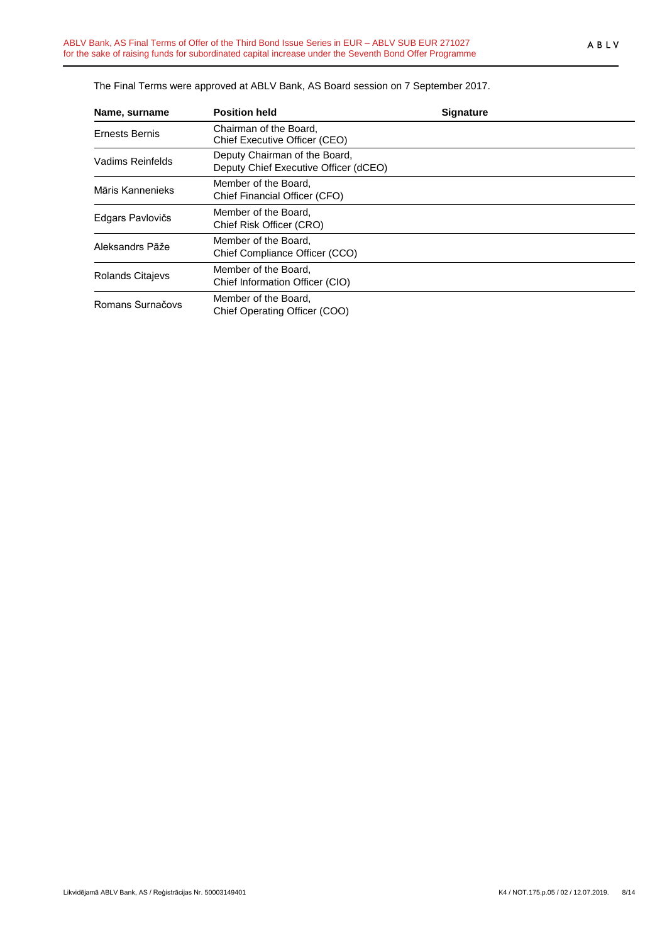| Name, surname           | <b>Position held</b>                                                   | <b>Signature</b> |
|-------------------------|------------------------------------------------------------------------|------------------|
| Ernests Bernis          | Chairman of the Board.<br>Chief Executive Officer (CEO)                |                  |
| Vadims Reinfelds        | Deputy Chairman of the Board,<br>Deputy Chief Executive Officer (dCEO) |                  |
| Māris Kannenieks        | Member of the Board.<br>Chief Financial Officer (CFO)                  |                  |
| Edgars Pavlovičs        | Member of the Board.<br>Chief Risk Officer (CRO)                       |                  |
| Aleksandrs Pāže         | Member of the Board,<br>Chief Compliance Officer (CCO)                 |                  |
| <b>Rolands Citajevs</b> | Member of the Board,<br>Chief Information Officer (CIO)                |                  |
| Romans Surnačovs        | Member of the Board.<br>Chief Operating Officer (COO)                  |                  |

The Final Terms were approved at ABLV Bank, AS Board session on 7 September 2017.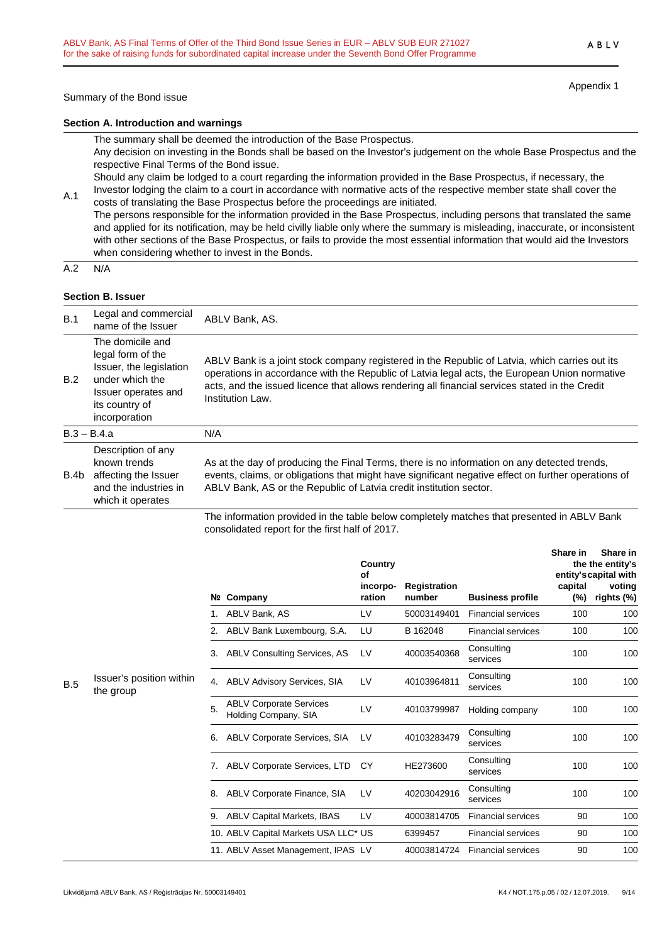**Section A. Introduction and warnings**

The summary shall be deemed the introduction of the Base Prospectus. Any decision on investing in the Bonds shall be based on the Investor's judgement on the whole Base Prospectus and the respective Final Terms of the Bond issue.

Should any claim be lodged to a court regarding the information provided in the Base Prospectus, if necessary, the Investor lodging the claim to a court in accordance with normative acts of the respective member state shall cover the

A.1 costs of translating the Base Prospectus before the proceedings are initiated. The persons responsible for the information provided in the Base Prospectus, including persons that translated the same and applied for its notification, may be held civilly liable only where the summary is misleading, inaccurate, or inconsistent with other sections of the Base Prospectus, or fails to provide the most essential information that would aid the Investors when considering whether to invest in the Bonds.

 $A.2 N/A$ 

### **Section B. Issuer**

| B.1  | Legal and commercial<br>name of the Issuer                                                                                                    | ABLV Bank, AS.                                                                                                                                                                                                                                                                                                        |
|------|-----------------------------------------------------------------------------------------------------------------------------------------------|-----------------------------------------------------------------------------------------------------------------------------------------------------------------------------------------------------------------------------------------------------------------------------------------------------------------------|
| B.2  | The domicile and<br>legal form of the<br>Issuer, the legislation<br>under which the<br>Issuer operates and<br>its country of<br>incorporation | ABLV Bank is a joint stock company registered in the Republic of Latvia, which carries out its<br>operations in accordance with the Republic of Latvia legal acts, the European Union normative<br>acts, and the issued licence that allows rendering all financial services stated in the Credit<br>Institution Law. |
|      | $B.3 - B.4.a$                                                                                                                                 | N/A                                                                                                                                                                                                                                                                                                                   |
| B.4b | Description of any<br>known trends<br>affecting the Issuer<br>and the industries in<br>which it operates                                      | As at the day of producing the Final Terms, there is no information on any detected trends,<br>events, claims, or obligations that might have significant negative effect on further operations of<br>ABLV Bank, AS or the Republic of Latvia credit institution sector.                                              |
|      |                                                                                                                                               | The information provided in the table below completely matches that presented in ARLV Bank                                                                                                                                                                                                                            |

The information provided in the table below completely matches that presented in ABLV Bank consolidated report for the first half of 2017.

|                                              |    |                                                        | Nº Company                           | Country<br>οf<br>incorpo-<br>ration | <b>Registration</b><br>number | <b>Business profile</b>   | Share in<br>capital<br>$(\%)$ | Share in<br>the the entity's<br>entity's capital with<br>voting<br>rights (%) |
|----------------------------------------------|----|--------------------------------------------------------|--------------------------------------|-------------------------------------|-------------------------------|---------------------------|-------------------------------|-------------------------------------------------------------------------------|
|                                              |    |                                                        | 1. ABLV Bank, AS                     | LV                                  | 50003149401                   | <b>Financial services</b> | 100                           | 100                                                                           |
|                                              |    |                                                        | 2. ABLV Bank Luxembourg, S.A.        | LU                                  | B 162048                      | <b>Financial services</b> | 100                           | 100                                                                           |
|                                              |    |                                                        | 3. ABLV Consulting Services, AS      | LV                                  | 40003540368                   | Consulting<br>services    | 100                           | 100                                                                           |
| Issuer's position within<br>B.5<br>the group |    | 4.                                                     | <b>ABLV Advisory Services, SIA</b>   | LV                                  | 40103964811                   | Consulting<br>services    | 100                           | 100                                                                           |
|                                              | 5. | <b>ABLV Corporate Services</b><br>Holding Company, SIA | LV                                   | 40103799987                         | Holding company               | 100                       | 100                           |                                                                               |
|                                              | 6. | <b>ABLV Corporate Services, SIA</b>                    | LV                                   | 40103283479                         | Consulting<br>services        | 100                       | 100                           |                                                                               |
|                                              |    |                                                        | 7. ABLV Corporate Services, LTD      | CY.                                 | HE273600                      | Consulting<br>services    | 100                           | 100                                                                           |
|                                              |    | 8.                                                     | ABLV Corporate Finance, SIA          | LV                                  | 40203042916                   | Consulting<br>services    | 100                           | 100                                                                           |
|                                              |    |                                                        | 9. ABLV Capital Markets, IBAS        | LV                                  | 40003814705                   | <b>Financial services</b> | 90                            | 100                                                                           |
|                                              |    |                                                        | 10. ABLV Capital Markets USA LLC* US |                                     | 6399457                       | <b>Financial services</b> | 90                            | 100                                                                           |
|                                              |    |                                                        | 11. ABLV Asset Management, IPAS LV   |                                     | 40003814724                   | <b>Financial services</b> | 90                            | 100                                                                           |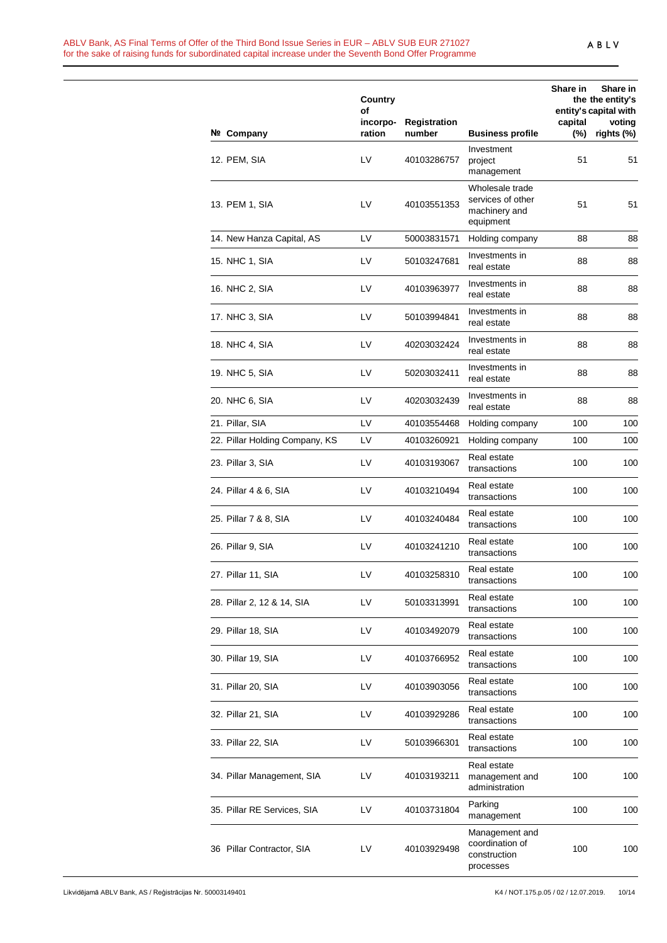#### ABLV Bank, AS Final Terms of Offer of the Third Bond Issue Series in EUR – ABLV SUB EUR 271027 for the sake of raising funds for subordinated capital increase under the Seventh Bond Offer Programme

|                                | Country<br>of      |                               |                                                                    | Share in          | Share in<br>the the entity's<br>entity's capital with |
|--------------------------------|--------------------|-------------------------------|--------------------------------------------------------------------|-------------------|-------------------------------------------------------|
| Nº Company                     | incorpo-<br>ration | <b>Registration</b><br>number | <b>Business profile</b>                                            | capital<br>$(\%)$ | voting<br>rights (%)                                  |
| 12. PEM, SIA                   | LV                 | 40103286757                   | Investment<br>project<br>management                                | 51                | 51                                                    |
| 13. PEM 1, SIA                 | LV                 | 40103551353                   | Wholesale trade<br>services of other<br>machinery and<br>equipment | 51                | 51                                                    |
| 14. New Hanza Capital, AS      | LV                 | 50003831571                   | Holding company                                                    | 88                | 88                                                    |
| 15. NHC 1, SIA                 | LV                 | 50103247681                   | Investments in<br>real estate                                      | 88                | 88                                                    |
| 16. NHC 2, SIA                 | LV                 | 40103963977                   | Investments in<br>real estate                                      | 88                | 88                                                    |
| 17. NHC 3, SIA                 | LV                 | 50103994841                   | Investments in<br>real estate                                      | 88                | 88                                                    |
| 18. NHC 4, SIA                 | LV                 | 40203032424                   | Investments in<br>real estate                                      | 88                | 88                                                    |
| 19. NHC 5, SIA                 | LV                 | 50203032411                   | Investments in<br>real estate                                      | 88                | 88                                                    |
| 20. NHC 6, SIA                 | LV                 | 40203032439                   | Investments in<br>real estate                                      | 88                | 88                                                    |
| 21. Pillar, SIA                | LV                 | 40103554468                   | Holding company                                                    | 100               | 100                                                   |
| 22. Pillar Holding Company, KS | LV                 | 40103260921                   | Holding company                                                    | 100               | 100                                                   |
| 23. Pillar 3, SIA              | LV                 | 40103193067                   | Real estate<br>transactions                                        | 100               | 100                                                   |
| 24. Pillar 4 & 6, SIA          | LV                 | 40103210494                   | Real estate<br>transactions                                        | 100               | 100                                                   |
| 25. Pillar 7 & 8, SIA          | LV                 | 40103240484                   | Real estate<br>transactions                                        | 100               | 100                                                   |
| 26. Pillar 9, SIA              | LV                 | 40103241210                   | Real estate<br>transactions                                        | 100               | 100                                                   |
| 27. Pillar 11, SIA             | LV                 | 40103258310                   | Real estate<br>transactions                                        | 100               | 100                                                   |
| 28. Pillar 2, 12 & 14, SIA     | LV                 | 50103313991                   | Real estate<br>transactions                                        | 100               | 100                                                   |
| 29. Pillar 18, SIA             | LV                 | 40103492079                   | Real estate<br>transactions                                        | 100               | 100                                                   |
| 30. Pillar 19, SIA             | LV                 | 40103766952                   | Real estate<br>transactions                                        | 100               | 100                                                   |
| 31. Pillar 20, SIA             | LV                 | 40103903056                   | Real estate<br>transactions                                        | 100               | 100                                                   |
| 32. Pillar 21, SIA             | LV                 | 40103929286                   | Real estate<br>transactions                                        | 100               | 100                                                   |
| 33. Pillar 22, SIA             | LV                 | 50103966301                   | Real estate<br>transactions                                        | 100               | 100                                                   |
| 34. Pillar Management, SIA     | LV                 | 40103193211                   | Real estate<br>management and<br>administration                    | 100               | 100                                                   |
| 35. Pillar RE Services, SIA    | LV                 | 40103731804                   | Parking<br>management                                              | 100               | 100                                                   |
| 36 Pillar Contractor, SIA      | LV                 | 40103929498                   | Management and<br>coordination of<br>construction<br>processes     | 100               | 100                                                   |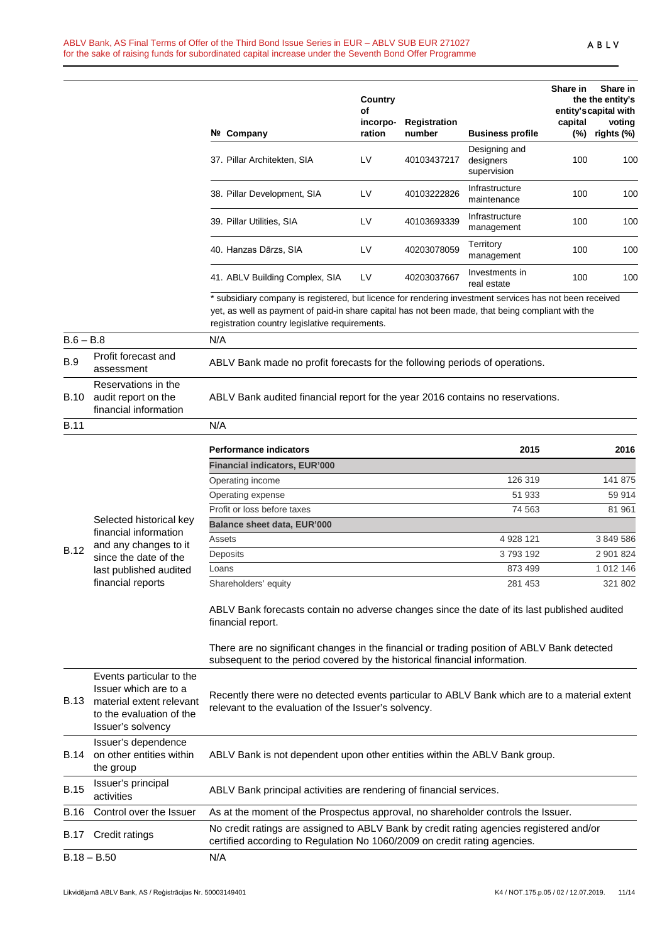|             |                                                                                                                                | Nº Company                                                                                                                                                                                                                                                     | Country<br>of<br>incorpo-<br>ration | <b>Registration</b><br>number | <b>Business profile</b>                   | Share in<br>capital<br>$(\%)$ | Share in<br>the the entity's<br>entity's capital with<br>voting<br>rights (%) |
|-------------|--------------------------------------------------------------------------------------------------------------------------------|----------------------------------------------------------------------------------------------------------------------------------------------------------------------------------------------------------------------------------------------------------------|-------------------------------------|-------------------------------|-------------------------------------------|-------------------------------|-------------------------------------------------------------------------------|
|             |                                                                                                                                | 37. Pillar Architekten, SIA                                                                                                                                                                                                                                    | LV                                  | 40103437217                   | Designing and<br>designers<br>supervision | 100                           | 100                                                                           |
|             |                                                                                                                                | 38. Pillar Development, SIA                                                                                                                                                                                                                                    | LV                                  | 40103222826                   | Infrastructure<br>maintenance             | 100                           | 100                                                                           |
|             |                                                                                                                                | 39. Pillar Utilities, SIA                                                                                                                                                                                                                                      | LV                                  | 40103693339                   | Infrastructure<br>management              | 100                           | 100                                                                           |
|             |                                                                                                                                | 40. Hanzas Dārzs, SIA                                                                                                                                                                                                                                          | LV                                  | 40203078059                   | Territory<br>management                   | 100                           | 100                                                                           |
|             |                                                                                                                                | 41. ABLV Building Complex, SIA                                                                                                                                                                                                                                 | LV                                  | 40203037667                   | Investments in<br>real estate             | 100                           | 100                                                                           |
|             |                                                                                                                                | * subsidiary company is registered, but licence for rendering investment services has not been received<br>yet, as well as payment of paid-in share capital has not been made, that being compliant with the<br>registration country legislative requirements. |                                     |                               |                                           |                               |                                                                               |
| $B.6 - B.8$ |                                                                                                                                | N/A                                                                                                                                                                                                                                                            |                                     |                               |                                           |                               |                                                                               |
| <b>B.9</b>  | Profit forecast and<br>assessment                                                                                              | ABLV Bank made no profit forecasts for the following periods of operations.                                                                                                                                                                                    |                                     |                               |                                           |                               |                                                                               |
| B.10        | Reservations in the<br>audit report on the<br>financial information                                                            | ABLV Bank audited financial report for the year 2016 contains no reservations.                                                                                                                                                                                 |                                     |                               |                                           |                               |                                                                               |
| <b>B.11</b> |                                                                                                                                | N/A                                                                                                                                                                                                                                                            |                                     |                               |                                           |                               |                                                                               |
|             |                                                                                                                                |                                                                                                                                                                                                                                                                |                                     |                               |                                           |                               |                                                                               |
|             |                                                                                                                                | <b>Performance indicators</b>                                                                                                                                                                                                                                  |                                     |                               | 2015                                      |                               | 2016                                                                          |
|             |                                                                                                                                | <b>Financial indicators, EUR'000</b>                                                                                                                                                                                                                           |                                     |                               |                                           |                               |                                                                               |
|             |                                                                                                                                | Operating income                                                                                                                                                                                                                                               |                                     |                               | 126 319                                   |                               | 141 875                                                                       |
|             |                                                                                                                                | Operating expense                                                                                                                                                                                                                                              |                                     |                               | 51 933                                    |                               | 59 914                                                                        |
|             | Selected historical key                                                                                                        | Profit or loss before taxes                                                                                                                                                                                                                                    |                                     |                               | 74 563                                    |                               | 81 961                                                                        |
|             | financial information                                                                                                          | Balance sheet data, EUR'000                                                                                                                                                                                                                                    |                                     |                               |                                           |                               |                                                                               |
|             | and any changes to it                                                                                                          | Assets                                                                                                                                                                                                                                                         |                                     |                               | 4 928 121                                 |                               | 3 849 586                                                                     |
| <b>B.12</b> | since the date of the                                                                                                          | Deposits                                                                                                                                                                                                                                                       |                                     |                               | 3793192                                   |                               | 2 901 824                                                                     |
|             | last published audited                                                                                                         | Loans                                                                                                                                                                                                                                                          |                                     |                               | 873 499                                   |                               | 1 012 146                                                                     |
|             | financial reports                                                                                                              | Shareholders' equity                                                                                                                                                                                                                                           |                                     |                               | 281 453                                   |                               | 321 802                                                                       |
|             |                                                                                                                                | ABLV Bank forecasts contain no adverse changes since the date of its last published audited<br>financial report.                                                                                                                                               |                                     |                               |                                           |                               |                                                                               |
|             |                                                                                                                                | There are no significant changes in the financial or trading position of ABLV Bank detected<br>subsequent to the period covered by the historical financial information.                                                                                       |                                     |                               |                                           |                               |                                                                               |
| B.13        | Events particular to the<br>Issuer which are to a<br>material extent relevant<br>to the evaluation of the<br>Issuer's solvency | Recently there were no detected events particular to ABLV Bank which are to a material extent<br>relevant to the evaluation of the Issuer's solvency.                                                                                                          |                                     |                               |                                           |                               |                                                                               |
| B.14        | Issuer's dependence<br>on other entities within<br>the group                                                                   | ABLV Bank is not dependent upon other entities within the ABLV Bank group.                                                                                                                                                                                     |                                     |                               |                                           |                               |                                                                               |
| <b>B.15</b> | Issuer's principal<br>activities                                                                                               | ABLV Bank principal activities are rendering of financial services.                                                                                                                                                                                            |                                     |                               |                                           |                               |                                                                               |
| B.16        | Control over the Issuer                                                                                                        | As at the moment of the Prospectus approval, no shareholder controls the Issuer.                                                                                                                                                                               |                                     |                               |                                           |                               |                                                                               |
| B.17        | Credit ratings                                                                                                                 | No credit ratings are assigned to ABLV Bank by credit rating agencies registered and/or<br>certified according to Regulation No 1060/2009 on credit rating agencies.                                                                                           |                                     |                               |                                           |                               |                                                                               |
|             | $B.18 - B.50$                                                                                                                  | N/A                                                                                                                                                                                                                                                            |                                     |                               |                                           |                               |                                                                               |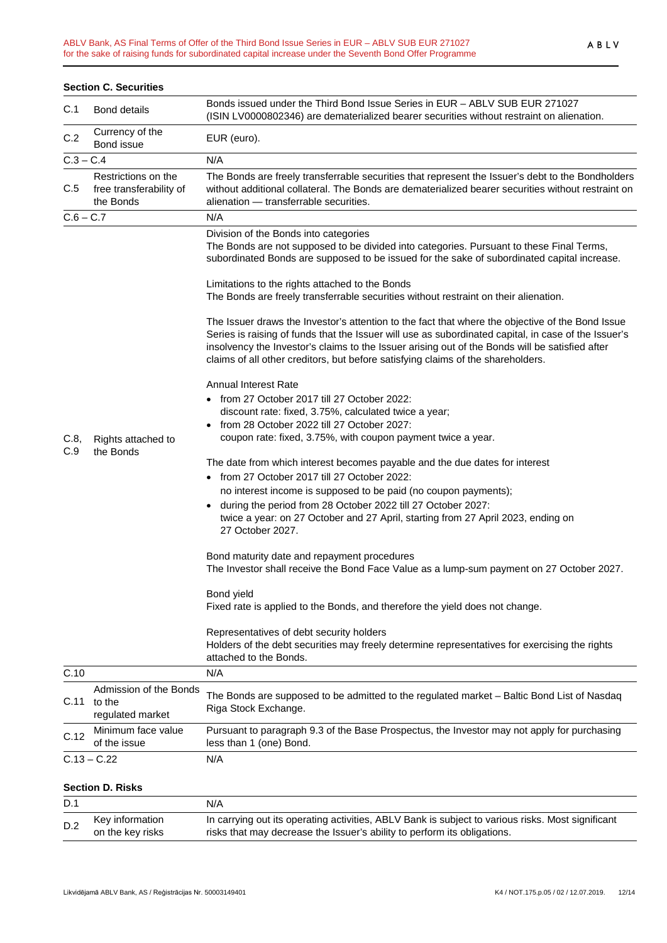|             | <b>Section C. Securities</b>                                |                                                                                                                                                                                                                                                                                                                                                                                                 |
|-------------|-------------------------------------------------------------|-------------------------------------------------------------------------------------------------------------------------------------------------------------------------------------------------------------------------------------------------------------------------------------------------------------------------------------------------------------------------------------------------|
| C.1         | <b>Bond details</b>                                         | Bonds issued under the Third Bond Issue Series in EUR - ABLV SUB EUR 271027<br>(ISIN LV0000802346) are dematerialized bearer securities without restraint on alienation.                                                                                                                                                                                                                        |
| C.2         | Currency of the<br>Bond issue                               | EUR (euro).                                                                                                                                                                                                                                                                                                                                                                                     |
| $C.3 - C.4$ |                                                             | N/A                                                                                                                                                                                                                                                                                                                                                                                             |
| C.5         | Restrictions on the<br>free transferability of<br>the Bonds | The Bonds are freely transferrable securities that represent the Issuer's debt to the Bondholders<br>without additional collateral. The Bonds are dematerialized bearer securities without restraint on<br>alienation - transferrable securities.                                                                                                                                               |
| $C.6 - C.7$ |                                                             | N/A                                                                                                                                                                                                                                                                                                                                                                                             |
|             |                                                             | Division of the Bonds into categories<br>The Bonds are not supposed to be divided into categories. Pursuant to these Final Terms,<br>subordinated Bonds are supposed to be issued for the sake of subordinated capital increase.                                                                                                                                                                |
|             |                                                             | Limitations to the rights attached to the Bonds<br>The Bonds are freely transferrable securities without restraint on their alienation.                                                                                                                                                                                                                                                         |
|             |                                                             | The Issuer draws the Investor's attention to the fact that where the objective of the Bond Issue<br>Series is raising of funds that the Issuer will use as subordinated capital, in case of the Issuer's<br>insolvency the Investor's claims to the Issuer arising out of the Bonds will be satisfied after<br>claims of all other creditors, but before satisfying claims of the shareholders. |
|             |                                                             | <b>Annual Interest Rate</b>                                                                                                                                                                                                                                                                                                                                                                     |
|             |                                                             | • from 27 October 2017 till 27 October 2022:                                                                                                                                                                                                                                                                                                                                                    |
|             |                                                             | discount rate: fixed, 3.75%, calculated twice a year;                                                                                                                                                                                                                                                                                                                                           |
|             |                                                             | from 28 October 2022 till 27 October 2027:                                                                                                                                                                                                                                                                                                                                                      |
| C.8,<br>C.9 | Rights attached to<br>the Bonds                             | coupon rate: fixed, 3.75%, with coupon payment twice a year.                                                                                                                                                                                                                                                                                                                                    |
|             |                                                             | The date from which interest becomes payable and the due dates for interest                                                                                                                                                                                                                                                                                                                     |
|             |                                                             | • from 27 October 2017 till 27 October 2022:                                                                                                                                                                                                                                                                                                                                                    |
|             |                                                             | no interest income is supposed to be paid (no coupon payments);                                                                                                                                                                                                                                                                                                                                 |
|             |                                                             | during the period from 28 October 2022 till 27 October 2027:                                                                                                                                                                                                                                                                                                                                    |
|             |                                                             | twice a year: on 27 October and 27 April, starting from 27 April 2023, ending on                                                                                                                                                                                                                                                                                                                |
|             |                                                             | 27 October 2027.                                                                                                                                                                                                                                                                                                                                                                                |
|             |                                                             | Bond maturity date and repayment procedures<br>The Investor shall receive the Bond Face Value as a lump-sum payment on 27 October 2027.                                                                                                                                                                                                                                                         |
|             |                                                             | Bond yield                                                                                                                                                                                                                                                                                                                                                                                      |
|             |                                                             | Fixed rate is applied to the Bonds, and therefore the yield does not change.                                                                                                                                                                                                                                                                                                                    |
|             |                                                             | Representatives of debt security holders<br>Holders of the debt securities may freely determine representatives for exercising the rights<br>attached to the Bonds.                                                                                                                                                                                                                             |
| C.10        |                                                             | N/A                                                                                                                                                                                                                                                                                                                                                                                             |
| C.11        | Admission of the Bonds<br>to the<br>regulated market        | The Bonds are supposed to be admitted to the regulated market - Baltic Bond List of Nasdaq<br>Riga Stock Exchange.                                                                                                                                                                                                                                                                              |
| C.12        | Minimum face value<br>of the issue                          | Pursuant to paragraph 9.3 of the Base Prospectus, the Investor may not apply for purchasing<br>less than 1 (one) Bond.                                                                                                                                                                                                                                                                          |
|             | $C.13 - C.22$                                               | N/A                                                                                                                                                                                                                                                                                                                                                                                             |
|             | <b>Section D. Risks</b>                                     |                                                                                                                                                                                                                                                                                                                                                                                                 |
| D.1         |                                                             | N/A                                                                                                                                                                                                                                                                                                                                                                                             |
|             | Key information                                             | In carrying out its operating activities, ABLV Bank is subject to various risks. Most significant                                                                                                                                                                                                                                                                                               |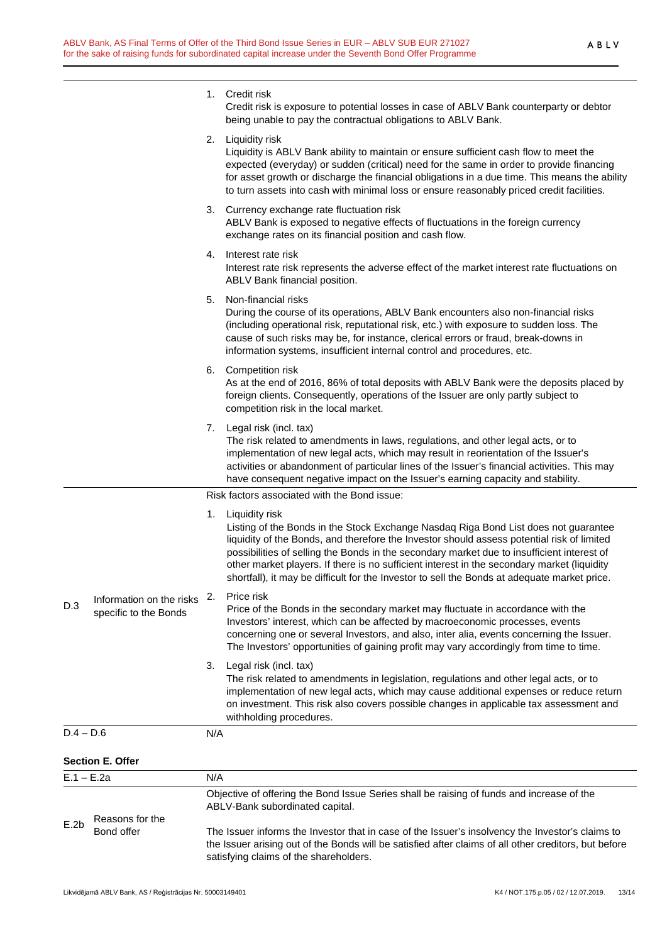1. Credit risk

| E.2b         | Reasons for the<br>Bond offer                                   |     | ABLV-Bank subordinated capital.<br>The Issuer informs the Investor that in case of the Issuer's insolvency the Investor's claims to<br>the Issuer arising out of the Bonds will be satisfied after claims of all other creditors, but before<br>satisfying claims of the shareholders.                                                                                                                                                                                                           |  |
|--------------|-----------------------------------------------------------------|-----|--------------------------------------------------------------------------------------------------------------------------------------------------------------------------------------------------------------------------------------------------------------------------------------------------------------------------------------------------------------------------------------------------------------------------------------------------------------------------------------------------|--|
| $E.1 - E.2a$ |                                                                 |     | N/A<br>Objective of offering the Bond Issue Series shall be raising of funds and increase of the                                                                                                                                                                                                                                                                                                                                                                                                 |  |
|              | <b>Section E. Offer</b>                                         |     |                                                                                                                                                                                                                                                                                                                                                                                                                                                                                                  |  |
|              |                                                                 | N/A |                                                                                                                                                                                                                                                                                                                                                                                                                                                                                                  |  |
| $D.4 - D.6$  |                                                                 | 3.  | Legal risk (incl. tax)<br>The risk related to amendments in legislation, regulations and other legal acts, or to<br>implementation of new legal acts, which may cause additional expenses or reduce return<br>on investment. This risk also covers possible changes in applicable tax assessment and<br>withholding procedures.                                                                                                                                                                  |  |
| D.3          | Information on the risks 2. Price risk<br>specific to the Bonds |     | Price of the Bonds in the secondary market may fluctuate in accordance with the<br>Investors' interest, which can be affected by macroeconomic processes, events<br>concerning one or several Investors, and also, inter alia, events concerning the Issuer.<br>The Investors' opportunities of gaining profit may vary accordingly from time to time.                                                                                                                                           |  |
|              |                                                                 | 1.  | Liquidity risk<br>Listing of the Bonds in the Stock Exchange Nasdaq Riga Bond List does not guarantee<br>liquidity of the Bonds, and therefore the Investor should assess potential risk of limited<br>possibilities of selling the Bonds in the secondary market due to insufficient interest of<br>other market players. If there is no sufficient interest in the secondary market (liquidity<br>shortfall), it may be difficult for the Investor to sell the Bonds at adequate market price. |  |
|              |                                                                 |     | Risk factors associated with the Bond issue:                                                                                                                                                                                                                                                                                                                                                                                                                                                     |  |
|              |                                                                 | 7.  | Legal risk (incl. tax)<br>The risk related to amendments in laws, regulations, and other legal acts, or to<br>implementation of new legal acts, which may result in reorientation of the Issuer's<br>activities or abandonment of particular lines of the Issuer's financial activities. This may<br>have consequent negative impact on the Issuer's earning capacity and stability.                                                                                                             |  |
|              |                                                                 |     | 6. Competition risk<br>As at the end of 2016, 86% of total deposits with ABLV Bank were the deposits placed by<br>foreign clients. Consequently, operations of the Issuer are only partly subject to<br>competition risk in the local market.                                                                                                                                                                                                                                                    |  |
|              |                                                                 | 5.  | Non-financial risks<br>During the course of its operations, ABLV Bank encounters also non-financial risks<br>(including operational risk, reputational risk, etc.) with exposure to sudden loss. The<br>cause of such risks may be, for instance, clerical errors or fraud, break-downs in<br>information systems, insufficient internal control and procedures, etc.                                                                                                                            |  |
|              |                                                                 | 4.  | Interest rate risk<br>Interest rate risk represents the adverse effect of the market interest rate fluctuations on<br>ABLV Bank financial position.                                                                                                                                                                                                                                                                                                                                              |  |
|              |                                                                 |     | 3. Currency exchange rate fluctuation risk<br>ABLV Bank is exposed to negative effects of fluctuations in the foreign currency<br>exchange rates on its financial position and cash flow.                                                                                                                                                                                                                                                                                                        |  |
|              |                                                                 |     | 2. Liquidity risk<br>Liquidity is ABLV Bank ability to maintain or ensure sufficient cash flow to meet the<br>expected (everyday) or sudden (critical) need for the same in order to provide financing<br>for asset growth or discharge the financial obligations in a due time. This means the ability<br>to turn assets into cash with minimal loss or ensure reasonably priced credit facilities.                                                                                             |  |
|              |                                                                 |     | Credit risk is exposure to potential losses in case of ABLV Bank counterparty or debtor<br>being unable to pay the contractual obligations to ABLV Bank.                                                                                                                                                                                                                                                                                                                                         |  |